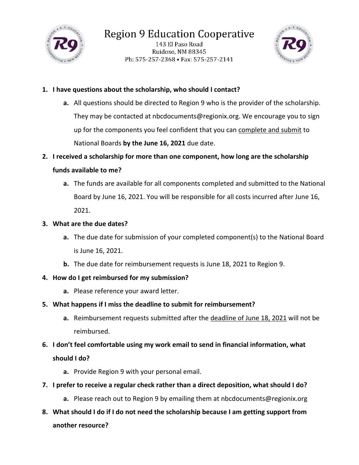

143 El Paso Road Ruidoso, NM 88345 Ph: 575-257-2368 • Fax: 575-257-2141



## **1. I have questions about the scholarship, who should I contact?**

**a.** All questions should be directed to Region 9 who is the provider of the scholarship. They may be contacted at nbcdocuments@regionix.org. We encourage you to sign up for the components you feel confident that you can complete and submit to National Boards **by the June 16, 2021** due date.

# **2. I received a scholarship for more than one component, how long are the scholarship funds available to me?**

**a.** The funds are available for all components completed and submitted to the National Board by June 16, 2021. You will be responsible for all costs incurred after June 16, 2021.

## **3. What are the due dates?**

- **a.** The due date for submission of your completed component(s) to the National Board is June 16, 2021.
- **b.** The due date for reimbursement requests is June 18, 2021 to Region 9.

### **4. How do I get reimbursed for my submission?**

**a.** Please reference your award letter.

# **5. What happens if I miss the deadline to submit for reimbursement?**

**a.** Reimbursement requests submitted after the deadline of June 18, 2021 will not be reimbursed.

# **6. I don't feel comfortable using my work email to send in financial information, what should I do?**

- **a.** Provide Region 9 with your personal email.
- **7. I prefer to receive a regular check rather than a direct deposition, what should I do?**
	- **a.** Please reach out to Region 9 by emailing them at nbcdocuments@regionix.org
- **8. What should I do if I do not need the scholarship because I am getting support from another resource?**